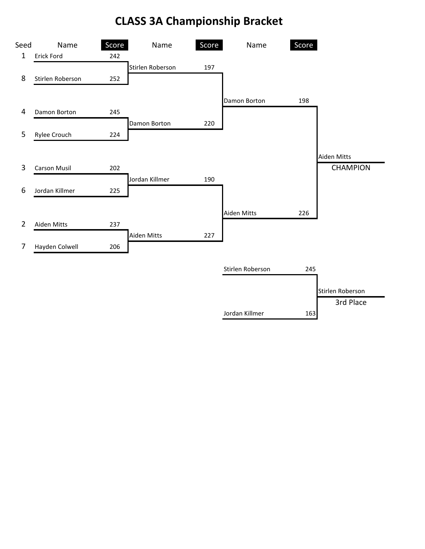## **CLASS 3A Championship Bracket**